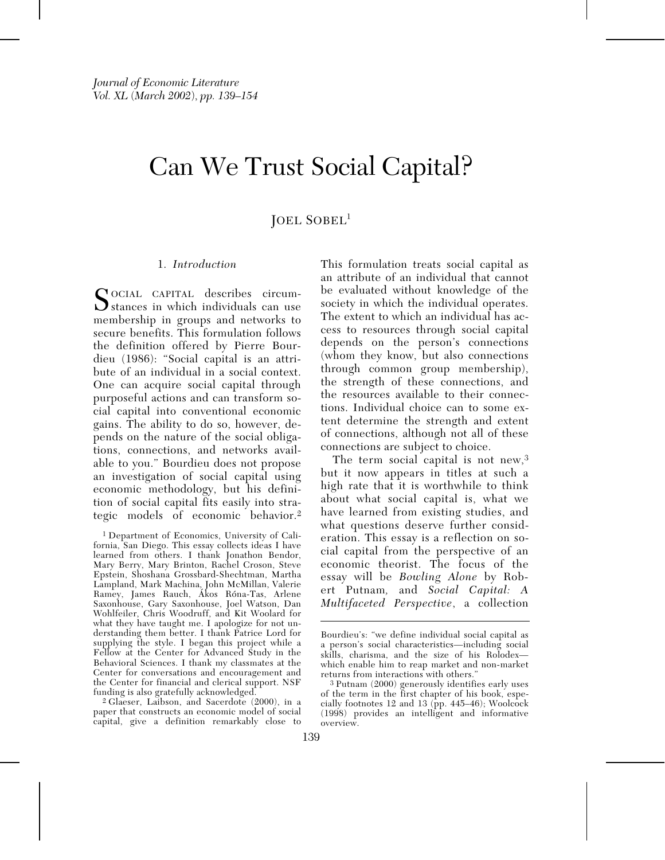# Can We Trust Social Capital?

## JOEL SOBEL<sup>1</sup>

#### 1. *Introduction*

SOCIAL CAPITAL describes circum- $\sum$  stances in which individuals can use membership in groups and networks to secure benefits. This formulation follows the definition offered by Pierre Bourdieu (1986): "Social capital is an attribute of an individual in a social context. One can acquire social capital through purposeful actions and can transform social capital into conventional economic gains. The ability to do so, however, depends on the nature of the social obligations, connections, and networks available to you." Bourdieu does not propose an investigation of social capital using economic methodology, but his definition of social capital fits easily into strategic models of economic behavior.2

1 Department of Economics, University of California, San Diego. This essay collects ideas I have learned from others. I thank Jonathon Bendor, Mary Berry, Mary Brinton, Rachel Croson, Steve Epstein, Shoshana Grossbard-Shechtman, Martha Lampland, Mark Machina, John McMillan, Valerie Ramey, James Rauch, Ákos Róna-Tas, Arlene Saxonhouse, Gary Saxonhouse, Joel Watson, Dan Wohlfeiler, Chris Woodruff, and Kit Woolard for what they have taught me. I apologize for not understanding them better. I thank Patrice Lord for supplying the style. I began this project while a Fellow at the Center for Advanced Study in the Behavioral Sciences. I thank my classmates at the Center for conversations and encouragement and the Center for financial and clerical support. NSF funding is also gratefully acknowledged.

2 Glaeser, Laibson, and Sacerdote (2000), in a paper that constructs an economic model of social capital, give a definition remarkably close to This formulation treats social capital as an attribute of an individual that cannot be evaluated without knowledge of the society in which the individual operates. The extent to which an individual has access to resources through social capital depends on the person's connections (whom they know, but also connections through common group membership), the strength of these connections, and the resources available to their connections. Individual choice can to some extent determine the strength and extent of connections, although not all of these connections are subject to choice.

The term social capital is not new,<sup>3</sup> but it now appears in titles at such a high rate that it is worthwhile to think about what social capital is, what we have learned from existing studies, and what questions deserve further consideration. This essay is a reflection on social capital from the perspective of an economic theorist. The focus of the essay will be *Bowling Alone* by Robert Putnam*,* and *Social Capital: A Multifaceted Perspective*, a collection

Bourdieu's: "we define individual social capital as a person's social characteristics—including social skills, charisma, and the size of his Rolodex which enable him to reap market and non-market returns from interactions with others."

<sup>3</sup> Putnam (2000) generously identifies early uses of the term in the first chapter of his book, especially footnotes 12 and 13 (pp. 445–46); Woolcock (1998) provides an intelligent and informative overview.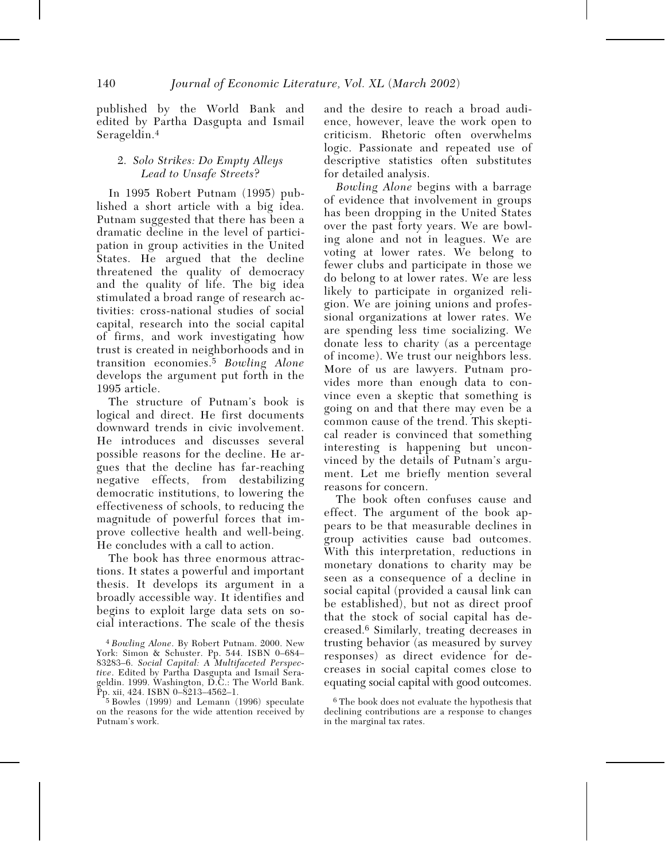published by the World Bank and edited by Partha Dasgupta and Ismail Serageldin.4

#### 2. *Solo Strikes: Do Empty Alleys Lead to Unsafe Streets*?

In 1995 Robert Putnam (1995) published a short article with a big idea. Putnam suggested that there has been a dramatic decline in the level of participation in group activities in the United States. He argued that the decline threatened the quality of democracy and the quality of life. The big idea stimulated a broad range of research activities: cross-national studies of social capital, research into the social capital of firms, and work investigating how trust is created in neighborhoods and in transition economies.5 *Bowling Alone* develops the argument put forth in the 1995 article.

The structure of Putnam's book is logical and direct. He first documents downward trends in civic involvement. He introduces and discusses several possible reasons for the decline. He argues that the decline has far-reaching negative effects, from destabilizing democratic institutions, to lowering the effectiveness of schools, to reducing the magnitude of powerful forces that improve collective health and well-being. He concludes with a call to action.

The book has three enormous attractions. It states a powerful and important thesis. It develops its argument in a broadly accessible way. It identifies and begins to exploit large data sets on social interactions. The scale of the thesis

and the desire to reach a broad audience, however, leave the work open to criticism. Rhetoric often overwhelms logic. Passionate and repeated use of descriptive statistics often substitutes for detailed analysis.

*Bowling Alone* begins with a barrage of evidence that involvement in groups has been dropping in the United States over the past forty years. We are bowling alone and not in leagues. We are voting at lower rates. We belong to fewer clubs and participate in those we do belong to at lower rates. We are less likely to participate in organized religion. We are joining unions and professional organizations at lower rates. We are spending less time socializing. We donate less to charity (as a percentage of income). We trust our neighbors less. More of us are lawyers. Putnam provides more than enough data to convince even a skeptic that something is going on and that there may even be a common cause of the trend. This skeptical reader is convinced that something interesting is happening but unconvinced by the details of Putnam's argument. Let me briefly mention several reasons for concern.

The book often confuses cause and effect. The argument of the book appears to be that measurable declines in group activities cause bad outcomes. With this interpretation, reductions in monetary donations to charity may be seen as a consequence of a decline in social capital (provided a causal link can be established), but not as direct proof that the stock of social capital has decreased.6 Similarly, treating decreases in trusting behavior (as measured by survey responses) as direct evidence for decreases in social capital comes close to equating social capital with good outcomes.

<sup>4</sup> *Bowling Alone*. By Robert Putnam. 2000. New York: Simon & Schuster. Pp. 544. ISBN 0–684– 83283–6. *Social Capital: A Multifaceted Perspective*. Edited by Partha Dasgupta and Ismail Serageldin. 1999. Washington, D.C.: The World Bank. Pp. xii, 424. ISBN 0-8213-4562-1.

<sup>5</sup> Bowles (1999) and Lemann (1996) speculate on the reasons for the wide attention received by Putnam's work.

<sup>6</sup> The book does not evaluate the hypothesis that declining contributions are a response to changes in the marginal tax rates.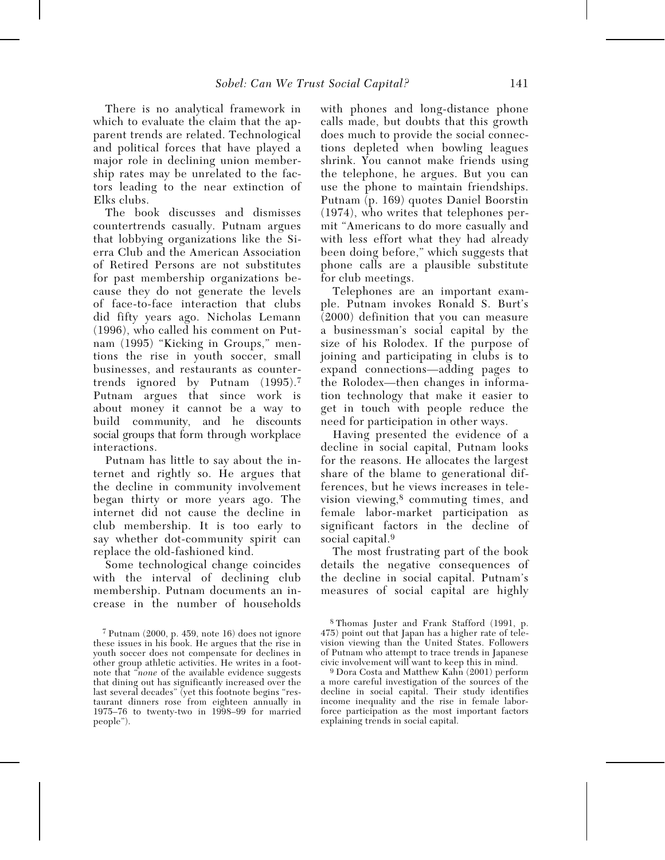There is no analytical framework in which to evaluate the claim that the apparent trends are related. Technological and political forces that have played a major role in declining union membership rates may be unrelated to the factors leading to the near extinction of Elks clubs.

The book discusses and dismisses countertrends casually. Putnam argues that lobbying organizations like the Sierra Club and the American Association of Retired Persons are not substitutes for past membership organizations because they do not generate the levels of face-to-face interaction that clubs did fifty years ago. Nicholas Lemann (1996), who called his comment on Putnam (1995) "Kicking in Groups," mentions the rise in youth soccer, small businesses, and restaurants as countertrends ignored by Putnam (1995).7 Putnam argues that since work is about money it cannot be a way to build community, and he discounts social groups that form through workplace interactions.

Putnam has little to say about the internet and rightly so. He argues that the decline in community involvement began thirty or more years ago. The internet did not cause the decline in club membership. It is too early to say whether dot-community spirit can replace the old-fashioned kind.

Some technological change coincides with the interval of declining club membership. Putnam documents an increase in the number of households with phones and long-distance phone calls made, but doubts that this growth does much to provide the social connections depleted when bowling leagues shrink. You cannot make friends using the telephone, he argues. But you can use the phone to maintain friendships. Putnam (p. 169) quotes Daniel Boorstin (1974), who writes that telephones permit "Americans to do more casually and with less effort what they had already been doing before," which suggests that phone calls are a plausible substitute for club meetings.

Telephones are an important example. Putnam invokes Ronald S. Burt's (2000) definition that you can measure a businessman's social capital by the size of his Rolodex. If the purpose of joining and participating in clubs is to expand connections—adding pages to the Rolodex—then changes in information technology that make it easier to get in touch with people reduce the need for participation in other ways.

Having presented the evidence of a decline in social capital, Putnam looks for the reasons. He allocates the largest share of the blame to generational differences, but he views increases in television viewing,<sup>8</sup> commuting times, and female labor-market participation as significant factors in the decline of social capital.<sup>9</sup>

The most frustrating part of the book details the negative consequences of the decline in social capital. Putnam's measures of social capital are highly

<sup>7</sup> Putnam (2000, p. 459, note 16) does not ignore these issues in his book. He argues that the rise in youth soccer does not compensate for declines in other group athletic activities. He writes in a footnote that "*none* of the available evidence suggests that dining out has significantly increased over the last several decades" (yet this footnote begins "restaurant dinners rose from eighteen annually in 1975–76 to twenty-two in 1998–99 for married people").

<sup>8</sup> Thomas Juster and Frank Stafford (1991, p. 475) point out that Japan has a higher rate of television viewing than the United States. Followers of Putnam who attempt to trace trends in Japanese civic involvement will want to keep this in mind.

<sup>9</sup> Dora Costa and Matthew Kahn (2001) perform a more careful investigation of the sources of the decline in social capital. Their study identifies income inequality and the rise in female laborforce participation as the most important factors explaining trends in social capital.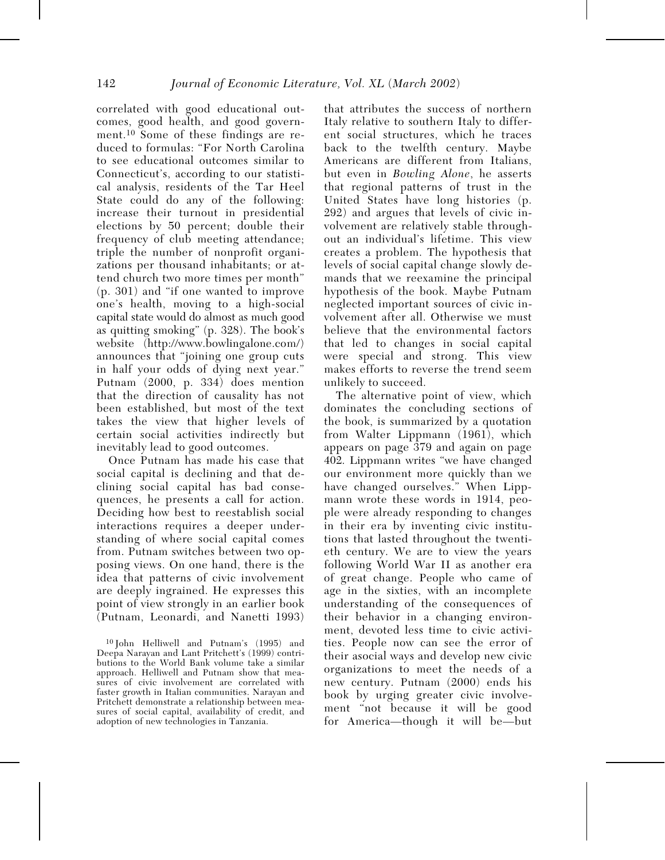correlated with good educational outcomes, good health, and good government.10 Some of these findings are reduced to formulas: "For North Carolina to see educational outcomes similar to Connecticut's, according to our statistical analysis, residents of the Tar Heel State could do any of the following: increase their turnout in presidential elections by 50 percent; double their frequency of club meeting attendance; triple the number of nonprofit organizations per thousand inhabitants; or attend church two more times per month" (p. 301) and "if one wanted to improve one's health, moving to a high-social capital state would do almost as much good as quitting smoking" (p. 328). The book's website (http://www.bowlingalone.com/) announces that "joining one group cuts in half your odds of dying next year." Putnam (2000, p. 334) does mention that the direction of causality has not been established, but most of the text takes the view that higher levels of certain social activities indirectly but inevitably lead to good outcomes.

Once Putnam has made his case that social capital is declining and that declining social capital has bad consequences, he presents a call for action. Deciding how best to reestablish social interactions requires a deeper understanding of where social capital comes from. Putnam switches between two opposing views. On one hand, there is the idea that patterns of civic involvement are deeply ingrained. He expresses this point of view strongly in an earlier book (Putnam, Leonardi, and Nanetti 1993)

that attributes the success of northern Italy relative to southern Italy to different social structures, which he traces back to the twelfth century. Maybe Americans are different from Italians, but even in *Bowling Alone*, he asserts that regional patterns of trust in the United States have long histories (p. 292) and argues that levels of civic involvement are relatively stable throughout an individual's lifetime. This view creates a problem. The hypothesis that levels of social capital change slowly demands that we reexamine the principal hypothesis of the book. Maybe Putnam neglected important sources of civic involvement after all. Otherwise we must believe that the environmental factors that led to changes in social capital were special and strong. This view makes efforts to reverse the trend seem unlikely to succeed.

The alternative point of view, which dominates the concluding sections of the book, is summarized by a quotation from Walter Lippmann (1961), which appears on page 379 and again on page 402. Lippmann writes "we have changed our environment more quickly than we have changed ourselves." When Lippmann wrote these words in 1914, people were already responding to changes in their era by inventing civic institutions that lasted throughout the twentieth century. We are to view the years following World War II as another era of great change. People who came of age in the sixties, with an incomplete understanding of the consequences of their behavior in a changing environment, devoted less time to civic activities. People now can see the error of their asocial ways and develop new civic organizations to meet the needs of a new century. Putnam (2000) ends his book by urging greater civic involvement "not because it will be good for America—though it will be—but

<sup>10</sup> John Helliwell and Putnam's (1995) and Deepa Narayan and Lant Pritchett's (1999) contributions to the World Bank volume take a similar approach. Helliwell and Putnam show that measures of civic involvement are correlated with faster growth in Italian communities. Narayan and Pritchett demonstrate a relationship between measures of social capital, availability of credit, and adoption of new technologies in Tanzania.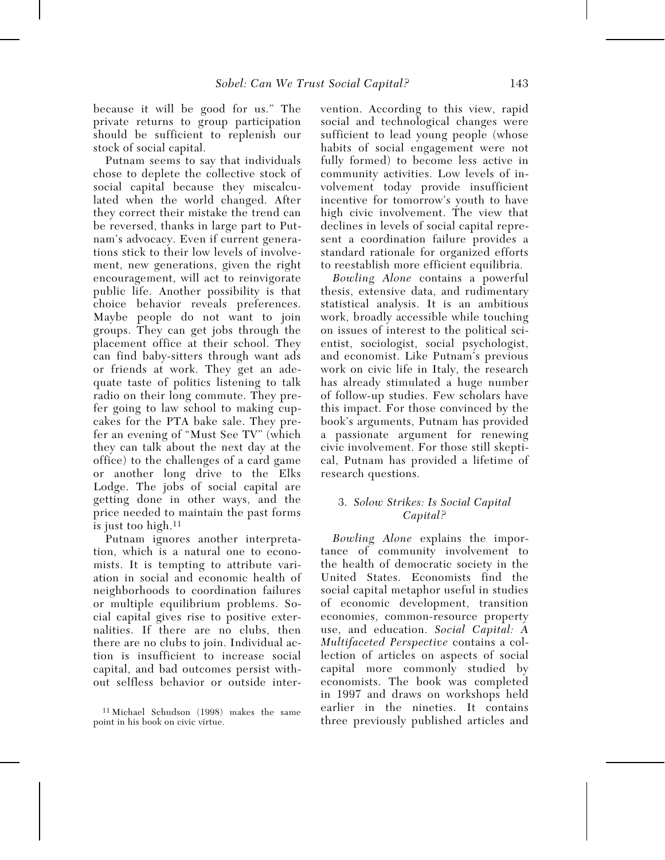because it will be good for us." The private returns to group participation should be sufficient to replenish our stock of social capital.

Putnam seems to say that individuals chose to deplete the collective stock of social capital because they miscalculated when the world changed. After they correct their mistake the trend can be reversed, thanks in large part to Putnam's advocacy. Even if current generations stick to their low levels of involvement, new generations, given the right encouragement, will act to reinvigorate public life. Another possibility is that choice behavior reveals preferences. Maybe people do not want to join groups. They can get jobs through the placement office at their school. They can find baby-sitters through want ads or friends at work. They get an adequate taste of politics listening to talk radio on their long commute. They prefer going to law school to making cupcakes for the PTA bake sale. They prefer an evening of "Must See TV" (which they can talk about the next day at the office) to the challenges of a card game or another long drive to the Elks Lodge. The jobs of social capital are getting done in other ways, and the price needed to maintain the past forms is just too high. $11$ 

Putnam ignores another interpretation, which is a natural one to economists. It is tempting to attribute variation in social and economic health of neighborhoods to coordination failures or multiple equilibrium problems. Social capital gives rise to positive externalities. If there are no clubs, then there are no clubs to join. Individual action is insufficient to increase social capital, and bad outcomes persist without selfless behavior or outside intervention. According to this view, rapid social and technological changes were sufficient to lead young people (whose habits of social engagement were not fully formed) to become less active in community activities. Low levels of involvement today provide insufficient incentive for tomorrow's youth to have high civic involvement. The view that declines in levels of social capital represent a coordination failure provides a standard rationale for organized efforts to reestablish more efficient equilibria.

*Bowling Alone* contains a powerful thesis, extensive data, and rudimentary statistical analysis. It is an ambitious work, broadly accessible while touching on issues of interest to the political scientist, sociologist, social psychologist, and economist. Like Putnam's previous work on civic life in Italy, the research has already stimulated a huge number of follow-up studies. Few scholars have this impact. For those convinced by the book's arguments, Putnam has provided a passionate argument for renewing civic involvement. For those still skeptical, Putnam has provided a lifetime of research questions.

#### 3. *Solow Strikes: Is Social Capital Capital?*

*Bowling Alone* explains the importance of community involvement to the health of democratic society in the United States. Economists find the social capital metaphor useful in studies of economic development, transition economies, common-resource property use, and education. *Social Capital: A Multifaceted Perspective* contains a collection of articles on aspects of social capital more commonly studied by economists. The book was completed in 1997 and draws on workshops held earlier in the nineties. It contains three previously published articles and

<sup>11</sup> Michael Schudson (1998) makes the same point in his book on civic virtue.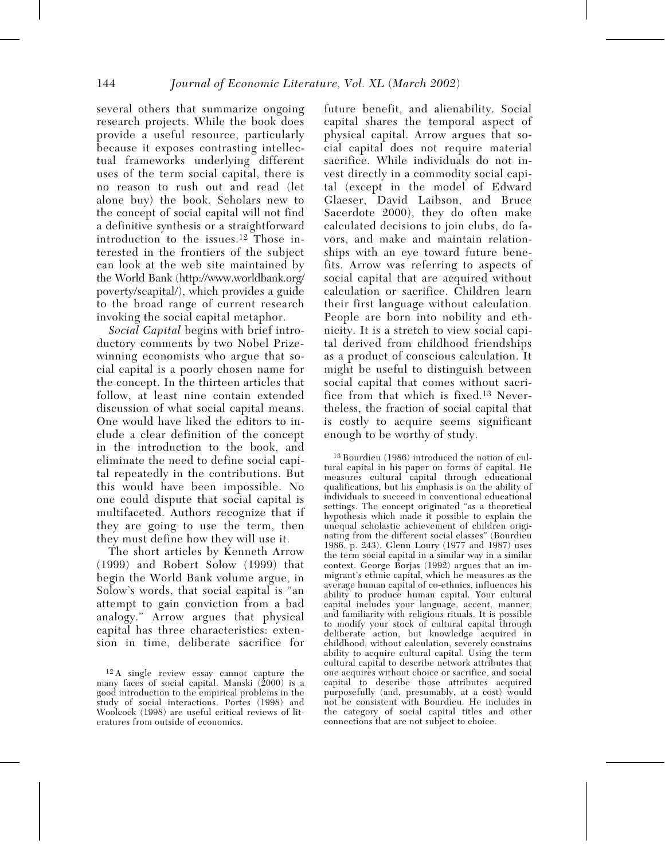several others that summarize ongoing research projects. While the book does provide a useful resource, particularly because it exposes contrasting intellectual frameworks underlying different uses of the term social capital, there is no reason to rush out and read (let alone buy) the book. Scholars new to the concept of social capital will not find a definitive synthesis or a straightforward introduction to the issues.12 Those interested in the frontiers of the subject can look at the web site maintained by the World Bank (http://www.worldbank.org/ poverty/scapital/), which provides a guide to the broad range of current research invoking the social capital metaphor.

*Social Capital* begins with brief introductory comments by two Nobel Prizewinning economists who argue that social capital is a poorly chosen name for the concept. In the thirteen articles that follow, at least nine contain extended discussion of what social capital means. One would have liked the editors to include a clear definition of the concept in the introduction to the book, and eliminate the need to define social capital repeatedly in the contributions. But this would have been impossible. No one could dispute that social capital is multifaceted. Authors recognize that if they are going to use the term, then they must define how they will use it.

The short articles by Kenneth Arrow (1999) and Robert Solow (1999) that begin the World Bank volume argue, in Solow's words, that social capital is "an attempt to gain conviction from a bad analogy." Arrow argues that physical capital has three characteristics: extension in time, deliberate sacrifice for

future benefit, and alienability. Social capital shares the temporal aspect of physical capital. Arrow argues that social capital does not require material sacrifice. While individuals do not invest directly in a commodity social capital (except in the model of Edward Glaeser, David Laibson, and Bruce Sacerdote 2000), they do often make calculated decisions to join clubs, do favors, and make and maintain relationships with an eye toward future benefits. Arrow was referring to aspects of social capital that are acquired without calculation or sacrifice. Children learn their first language without calculation. People are born into nobility and ethnicity. It is a stretch to view social capital derived from childhood friendships as a product of conscious calculation. It might be useful to distinguish between social capital that comes without sacrifice from that which is fixed.13 Nevertheless, the fraction of social capital that is costly to acquire seems significant enough to be worthy of study.

13 Bourdieu (1986) introduced the notion of cultural capital in his paper on forms of capital. He measures cultural capital through educational qualifications, but his emphasis is on the ability of individuals to succeed in conventional educational settings. The concept originated "as a theoretical hypothesis which made it possible to explain the unequal scholastic achievement of children originating from the different social classes" (Bourdieu 1986, p. 243). Glenn Loury (1977 and 1987) uses the term social capital in a similar way in a similar context. George Borjas (1992) argues that an immigrant's ethnic capital, which he measures as the average human capital of co-ethnics, influences his ability to produce human capital. Your cultural capital includes your language, accent, manner, and familiarity with religious rituals. It is possible to modify your stock of cultural capital through deliberate action, but knowledge acquired in childhood, without calculation, severely constrains ability to acquire cultural capital. Using the term cultural capital to describe network attributes that one acquires without choice or sacrifice, and social capital to describe those attributes acquired purposefully (and, presumably, at a cost) would not be consistent with Bourdieu. He includes in the category of social capital titles and other connections that are not subject to choice.

<sup>12</sup> A single review essay cannot capture the many faces of social capital. Manski  $(2000)$  is a good introduction to the empirical problems in the study of social interactions. Portes (1998) and Woolcock (1998) are useful critical reviews of literatures from outside of economics.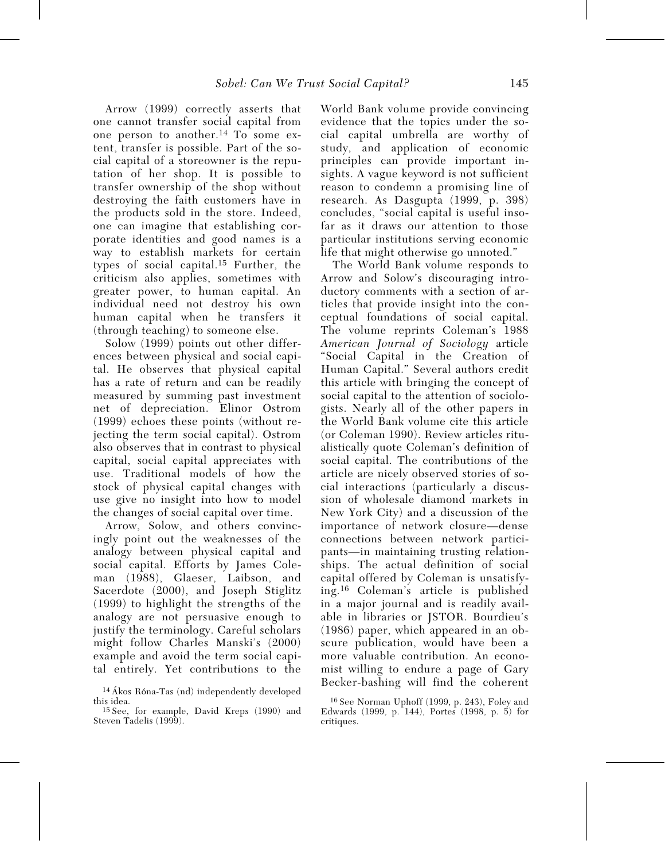Arrow (1999) correctly asserts that one cannot transfer social capital from one person to another.14 To some extent, transfer is possible. Part of the social capital of a storeowner is the reputation of her shop. It is possible to transfer ownership of the shop without destroying the faith customers have in the products sold in the store. Indeed, one can imagine that establishing corporate identities and good names is a way to establish markets for certain types of social capital.15 Further, the criticism also applies, sometimes with greater power, to human capital. An individual need not destroy his own human capital when he transfers it (through teaching) to someone else.

Solow (1999) points out other differences between physical and social capital. He observes that physical capital has a rate of return and can be readily measured by summing past investment net of depreciation. Elinor Ostrom (1999) echoes these points (without rejecting the term social capital). Ostrom also observes that in contrast to physical capital, social capital appreciates with use. Traditional models of how the stock of physical capital changes with use give no insight into how to model the changes of social capital over time.

Arrow, Solow, and others convincingly point out the weaknesses of the analogy between physical capital and social capital. Efforts by James Coleman (1988), Glaeser, Laibson, and Sacerdote (2000), and Joseph Stiglitz (1999) to highlight the strengths of the analogy are not persuasive enough to justify the terminology. Careful scholars might follow Charles Manski's (2000) example and avoid the term social capital entirely. Yet contributions to the

World Bank volume provide convincing evidence that the topics under the social capital umbrella are worthy of study, and application of economic principles can provide important insights. A vague keyword is not sufficient reason to condemn a promising line of research. As Dasgupta (1999, p. 398) concludes, "social capital is useful insofar as it draws our attention to those particular institutions serving economic life that might otherwise go unnoted."

The World Bank volume responds to Arrow and Solow's discouraging introductory comments with a section of articles that provide insight into the conceptual foundations of social capital. The volume reprints Coleman's 1988 *American Journal of Sociology* article "Social Capital in the Creation of Human Capital." Several authors credit this article with bringing the concept of social capital to the attention of sociologists. Nearly all of the other papers in the World Bank volume cite this article (or Coleman 1990). Review articles ritualistically quote Coleman's definition of social capital. The contributions of the article are nicely observed stories of social interactions (particularly a discussion of wholesale diamond markets in New York City) and a discussion of the importance of network closure—dense connections between network participants—in maintaining trusting relationships. The actual definition of social capital offered by Coleman is unsatisfying.16 Coleman's article is published in a major journal and is readily available in libraries or JSTOR. Bourdieu's (1986) paper, which appeared in an obscure publication, would have been a more valuable contribution. An economist willing to endure a page of Gary

Becker-bashing will find the coherent <sup>14</sup> Ákos Róna-Tas (nd) independently developed this idea.

<sup>15</sup> See, for example, David Kreps (1990) and Steven Tadelis (1999).

<sup>16</sup> See Norman Uphoff (1999, p. 243), Foley and Edwards (1999, p. 144), Portes (1998, p. 5) for critiques.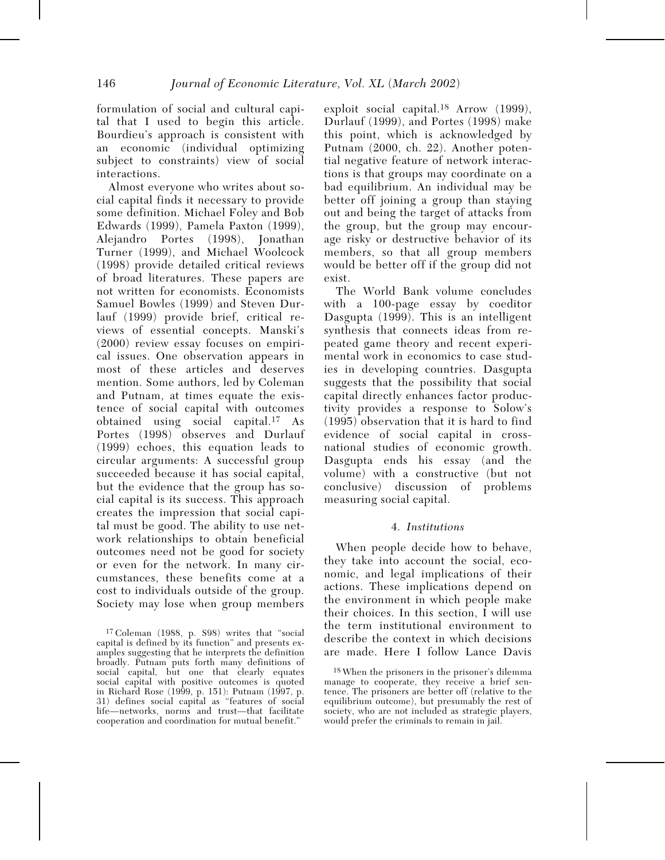formulation of social and cultural capital that I used to begin this article. Bourdieu's approach is consistent with an economic (individual optimizing subject to constraints) view of social interactions.

Almost everyone who writes about social capital finds it necessary to provide some definition. Michael Foley and Bob Edwards (1999), Pamela Paxton (1999), Alejandro Portes (1998), Jonathan Turner (1999), and Michael Woolcock (1998) provide detailed critical reviews of broad literatures. These papers are not written for economists. Economists Samuel Bowles (1999) and Steven Durlauf (1999) provide brief, critical reviews of essential concepts. Manski's (2000) review essay focuses on empirical issues. One observation appears in most of these articles and deserves mention. Some authors, led by Coleman and Putnam, at times equate the existence of social capital with outcomes obtained using social capital.17 As Portes (1998) observes and Durlauf (1999) echoes, this equation leads to circular arguments: A successful group succeeded because it has social capital, but the evidence that the group has social capital is its success. This approach creates the impression that social capital must be good. The ability to use network relationships to obtain beneficial outcomes need not be good for society or even for the network. In many circumstances, these benefits come at a cost to individuals outside of the group. Society may lose when group members

exploit social capital.18 Arrow (1999), Durlauf (1999), and Portes (1998) make this point, which is acknowledged by Putnam (2000, ch. 22). Another potential negative feature of network interactions is that groups may coordinate on a bad equilibrium. An individual may be better off joining a group than staying out and being the target of attacks from the group, but the group may encourage risky or destructive behavior of its members, so that all group members would be better off if the group did not exist.

The World Bank volume concludes with a 100-page essay by coeditor Dasgupta (1999). This is an intelligent synthesis that connects ideas from repeated game theory and recent experimental work in economics to case studies in developing countries. Dasgupta suggests that the possibility that social capital directly enhances factor productivity provides a response to Solow's (1995) observation that it is hard to find evidence of social capital in crossnational studies of economic growth. Dasgupta ends his essay (and the volume) with a constructive (but not conclusive) discussion of problems measuring social capital.

#### 4. *Institutions*

When people decide how to behave, they take into account the social, economic, and legal implications of their actions. These implications depend on the environment in which people make their choices. In this section, I will use the term institutional environment to describe the context in which decisions are made. Here I follow Lance Davis

<sup>17</sup> Coleman (1988, p. S98) writes that "social capital is defined by its function" and presents examples suggesting that he interprets the definition broadly. Putnam puts forth many definitions of social capital, but one that clearly equates social capital with positive outcomes is quoted in Richard Rose (1999, p. 151): Putnam (1997, p. 31) defines social capital as "features of social life—networks, norms and trust—that facilitate cooperation and coordination for mutual benefit."

<sup>18</sup> When the prisoners in the prisoner's dilemma manage to cooperate, they receive a brief sentence. The prisoners are better off (relative to the equilibrium outcome), but presumably the rest of society, who are not included as strategic players, would prefer the criminals to remain in jail.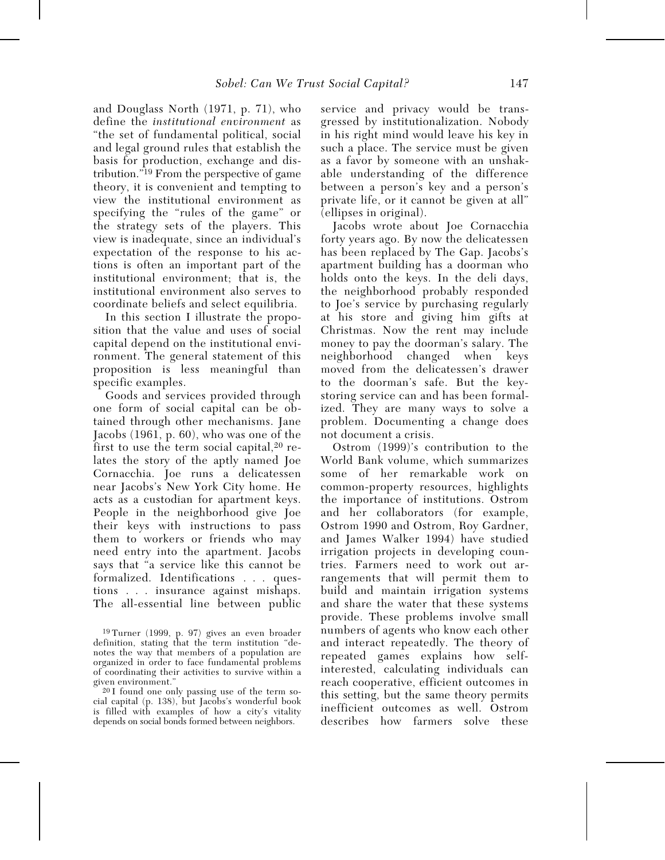and Douglass North (1971, p. 71), who define the *institutional environment* as "the set of fundamental political, social and legal ground rules that establish the basis for production, exchange and distribution."19 From the perspective of game theory, it is convenient and tempting to view the institutional environment as specifying the "rules of the game" or the strategy sets of the players. This view is inadequate, since an individual's expectation of the response to his actions is often an important part of the institutional environment; that is, the institutional environment also serves to coordinate beliefs and select equilibria.

In this section I illustrate the proposition that the value and uses of social capital depend on the institutional environment. The general statement of this proposition is less meaningful than specific examples.

Goods and services provided through one form of social capital can be obtained through other mechanisms. Jane Jacobs (1961, p. 60), who was one of the first to use the term social capital,  $20$  relates the story of the aptly named Joe Cornacchia. Joe runs a delicatessen near Jacobs's New York City home. He acts as a custodian for apartment keys. People in the neighborhood give Joe their keys with instructions to pass them to workers or friends who may need entry into the apartment. Jacobs says that "a service like this cannot be formalized. Identifications . . . questions . . . insurance against mishaps. The all-essential line between public

19 Turner (1999, p. 97) gives an even broader definition, stating that the term institution "denotes the way that members of a population are organized in order to face fundamental problems of coordinating their activities to survive within a given environment."

20 I found one only passing use of the term social capital (p. 138), but Jacobs's wonderful book is filled with examples of how a city's vitality depends on social bonds formed between neighbors.

service and privacy would be transgressed by institutionalization. Nobody in his right mind would leave his key in such a place. The service must be given as a favor by someone with an unshakable understanding of the difference between a person's key and a person's private life, or it cannot be given at all" (ellipses in original).

Jacobs wrote about Joe Cornacchia forty years ago. By now the delicatessen has been replaced by The Gap. Jacobs's apartment building has a doorman who holds onto the keys. In the deli days, the neighborhood probably responded to Joe's service by purchasing regularly at his store and giving him gifts at Christmas. Now the rent may include money to pay the doorman's salary. The neighborhood changed when keys moved from the delicatessen's drawer to the doorman's safe. But the keystoring service can and has been formalized. They are many ways to solve a problem. Documenting a change does not document a crisis.

Ostrom (1999)'s contribution to the World Bank volume, which summarizes some of her remarkable work on common-property resources, highlights the importance of institutions. Ostrom and her collaborators (for example, Ostrom 1990 and Ostrom, Roy Gardner, and James Walker 1994) have studied irrigation projects in developing countries. Farmers need to work out arrangements that will permit them to build and maintain irrigation systems and share the water that these systems provide. These problems involve small numbers of agents who know each other and interact repeatedly. The theory of repeated games explains how selfinterested, calculating individuals can reach cooperative, efficient outcomes in this setting, but the same theory permits inefficient outcomes as well. Ostrom describes how farmers solve these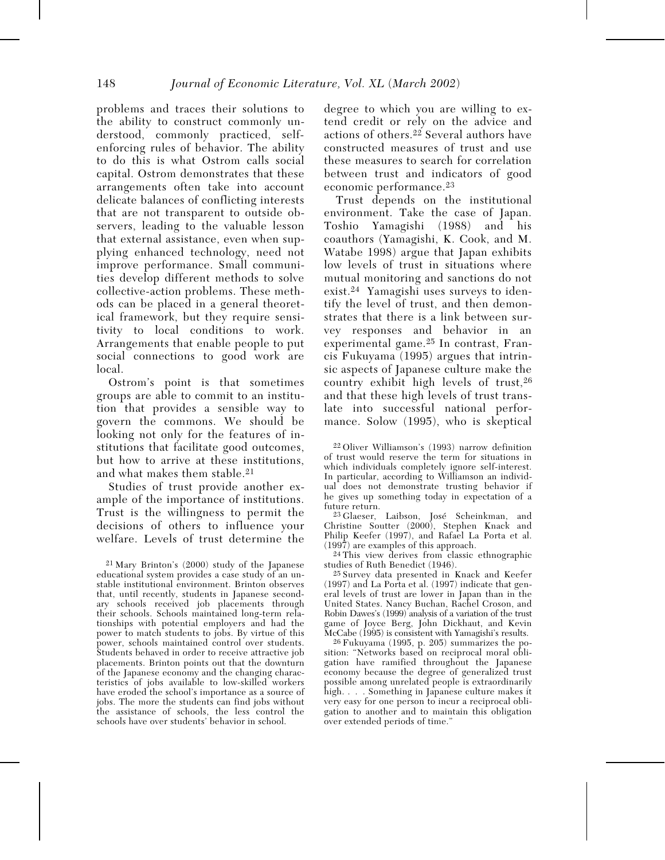problems and traces their solutions to the ability to construct commonly understood, commonly practiced, selfenforcing rules of behavior. The ability to do this is what Ostrom calls social capital. Ostrom demonstrates that these arrangements often take into account delicate balances of conflicting interests that are not transparent to outside observers, leading to the valuable lesson that external assistance, even when supplying enhanced technology, need not improve performance. Small communities develop different methods to solve collective-action problems. These methods can be placed in a general theoretical framework, but they require sensitivity to local conditions to work. Arrangements that enable people to put social connections to good work are local.

Ostrom's point is that sometimes groups are able to commit to an institution that provides a sensible way to govern the commons. We should be looking not only for the features of institutions that facilitate good outcomes, but how to arrive at these institutions, and what makes them stable.21

Studies of trust provide another example of the importance of institutions. Trust is the willingness to permit the decisions of others to influence your welfare. Levels of trust determine the

degree to which you are willing to extend credit or rely on the advice and actions of others.22 Several authors have constructed measures of trust and use these measures to search for correlation between trust and indicators of good economic performance.23

Trust depends on the institutional environment. Take the case of Japan. Toshio Yamagishi (1988) and his coauthors (Yamagishi, K. Cook, and M. Watabe 1998) argue that Japan exhibits low levels of trust in situations where mutual monitoring and sanctions do not exist.24 Yamagishi uses surveys to identify the level of trust, and then demonstrates that there is a link between survey responses and behavior in an experimental game.25 In contrast, Francis Fukuyama (1995) argues that intrinsic aspects of Japanese culture make the country exhibit high levels of trust,26 and that these high levels of trust translate into successful national performance. Solow (1995), who is skeptical

22 Oliver Williamson's (1993) narrow definition of trust would reserve the term for situations in which individuals completely ignore self-interest. In particular, according to Williamson an individual does not demonstrate trusting behavior if he gives up something today in expectation of a future return.

23 Glaeser, Laibson, José Scheinkman, and Christine Soutter (2000), Stephen Knack and Philip Keefer (1997), and Rafael La Porta et al. (1997) are examples of this approach.

24 This view derives from classic ethnographic studies of Ruth Benedict (1946).

25 Survey data presented in Knack and Keefer (1997) and La Porta et al. (1997) indicate that general levels of trust are lower in Japan than in the United States. Nancy Buchan, Rachel Croson, and Robin Dawes's (1999) analysis of a variation of the trust game of Joyce Berg, John Dickhaut, and Kevin McCabe (1995) is consistent with Yamagishi's results.

26 Fukuyama (1995, p. 205) summarizes the position: "Networks based on reciprocal moral obligation have ramified throughout the Japanese economy because the degree of generalized trust possible among unrelated people is extraordinarily high. . . . Something in Japanese culture makes it very easy for one person to incur a reciprocal obligation to another and to maintain this obligation over extended periods of time."

<sup>21</sup> Mary Brinton's (2000) study of the Japanese educational system provides a case study of an unstable institutional environment. Brinton observes that, until recently, students in Japanese secondary schools received job placements through their schools. Schools maintained long-term relationships with potential employers and had the power to match students to jobs. By virtue of this power, schools maintained control over students. Students behaved in order to receive attractive job placements. Brinton points out that the downturn of the Japanese economy and the changing characteristics of jobs available to low-skilled workers have eroded the school's importance as a source of jobs. The more the students can find jobs without the assistance of schools, the less control the schools have over students' behavior in school.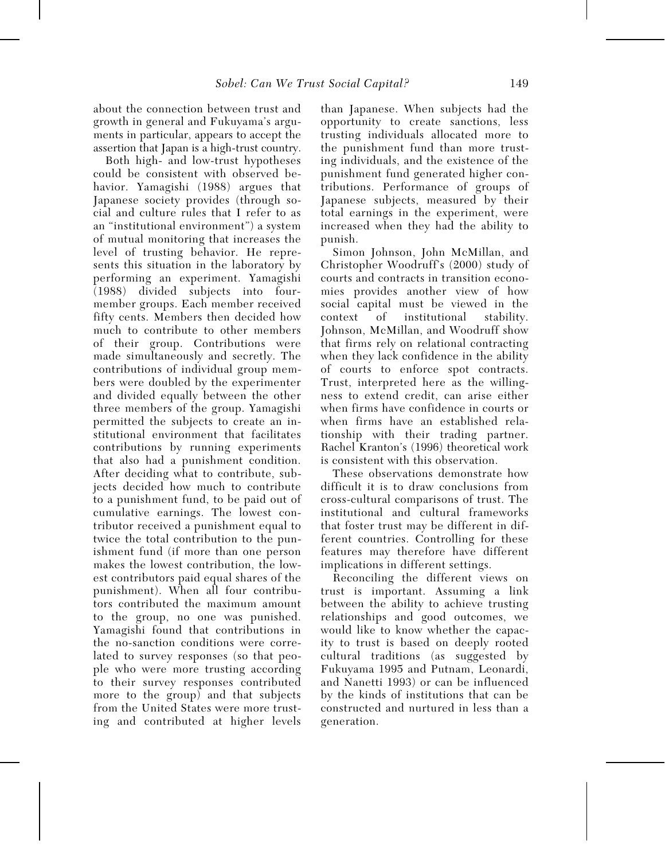about the connection between trust and growth in general and Fukuyama's arguments in particular, appears to accept the assertion that Japan is a high-trust country.

Both high- and low-trust hypotheses could be consistent with observed behavior. Yamagishi (1988) argues that Japanese society provides (through social and culture rules that I refer to as an "institutional environment") a system of mutual monitoring that increases the level of trusting behavior. He represents this situation in the laboratory by performing an experiment. Yamagishi (1988) divided subjects into fourmember groups. Each member received fifty cents. Members then decided how much to contribute to other members of their group. Contributions were made simultaneously and secretly. The contributions of individual group members were doubled by the experimenter and divided equally between the other three members of the group. Yamagishi permitted the subjects to create an institutional environment that facilitates contributions by running experiments that also had a punishment condition. After deciding what to contribute, subjects decided how much to contribute to a punishment fund, to be paid out of cumulative earnings. The lowest contributor received a punishment equal to twice the total contribution to the punishment fund (if more than one person makes the lowest contribution, the lowest contributors paid equal shares of the punishment). When all four contributors contributed the maximum amount to the group, no one was punished. Yamagishi found that contributions in the no-sanction conditions were correlated to survey responses (so that people who were more trusting according to their survey responses contributed more to the group) and that subjects from the United States were more trusting and contributed at higher levels

than Japanese. When subjects had the opportunity to create sanctions, less trusting individuals allocated more to the punishment fund than more trusting individuals, and the existence of the punishment fund generated higher contributions. Performance of groups of Japanese subjects, measured by their total earnings in the experiment, were increased when they had the ability to punish.

Simon Johnson, John McMillan, and Christopher Woodruff's (2000) study of courts and contracts in transition economies provides another view of how social capital must be viewed in the context of institutional stability. Johnson, McMillan, and Woodruff show that firms rely on relational contracting when they lack confidence in the ability of courts to enforce spot contracts. Trust, interpreted here as the willingness to extend credit, can arise either when firms have confidence in courts or when firms have an established relationship with their trading partner. Rachel Kranton's (1996) theoretical work is consistent with this observation.

These observations demonstrate how difficult it is to draw conclusions from cross-cultural comparisons of trust. The institutional and cultural frameworks that foster trust may be different in different countries. Controlling for these features may therefore have different implications in different settings.

Reconciling the different views on trust is important. Assuming a link between the ability to achieve trusting relationships and good outcomes, we would like to know whether the capacity to trust is based on deeply rooted cultural traditions (as suggested by Fukuyama 1995 and Putnam, Leonardi, and Nanetti 1993) or can be influenced by the kinds of institutions that can be constructed and nurtured in less than a generation.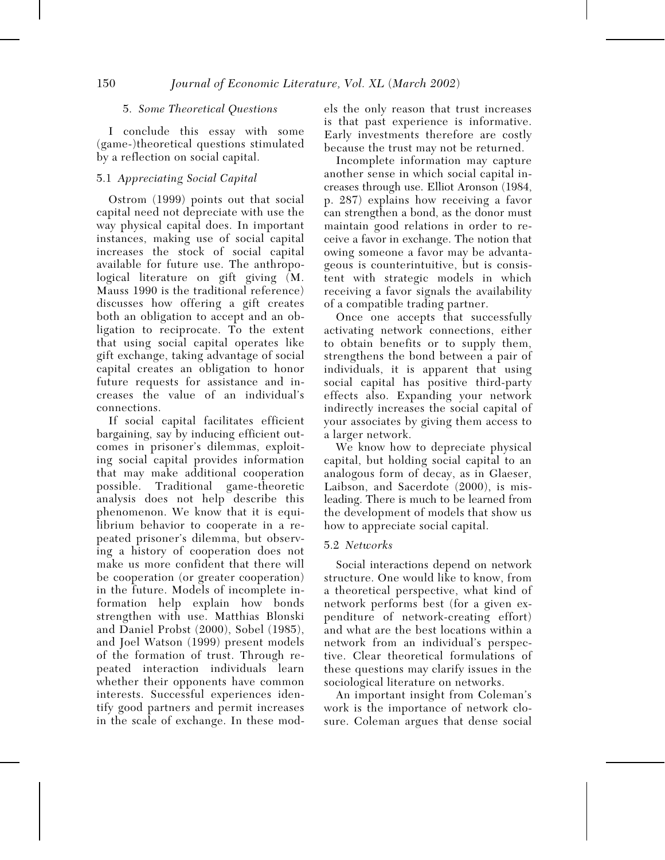#### 5. *Some Theoretical Questions*

I conclude this essay with some (game-)theoretical questions stimulated by a reflection on social capital.

#### 5.1 *Appreciating Social Capital*

Ostrom (1999) points out that social capital need not depreciate with use the way physical capital does. In important instances, making use of social capital increases the stock of social capital available for future use. The anthropological literature on gift giving (M. Mauss 1990 is the traditional reference) discusses how offering a gift creates both an obligation to accept and an obligation to reciprocate. To the extent that using social capital operates like gift exchange, taking advantage of social capital creates an obligation to honor future requests for assistance and increases the value of an individual's connections.

If social capital facilitates efficient bargaining, say by inducing efficient outcomes in prisoner's dilemmas, exploiting social capital provides information that may make additional cooperation possible. Traditional game-theoretic analysis does not help describe this phenomenon. We know that it is equilibrium behavior to cooperate in a repeated prisoner's dilemma, but observing a history of cooperation does not make us more confident that there will be cooperation (or greater cooperation) in the future. Models of incomplete information help explain how bonds strengthen with use. Matthias Blonski and Daniel Probst (2000), Sobel (1985), and Joel Watson (1999) present models of the formation of trust. Through repeated interaction individuals learn whether their opponents have common interests. Successful experiences identify good partners and permit increases in the scale of exchange. In these models the only reason that trust increases is that past experience is informative. Early investments therefore are costly because the trust may not be returned.

Incomplete information may capture another sense in which social capital increases through use. Elliot Aronson (1984, p. 287) explains how receiving a favor can strengthen a bond, as the donor must maintain good relations in order to receive a favor in exchange. The notion that owing someone a favor may be advantageous is counterintuitive, but is consistent with strategic models in which receiving a favor signals the availability of a compatible trading partner.

Once one accepts that successfully activating network connections, either to obtain benefits or to supply them, strengthens the bond between a pair of individuals, it is apparent that using social capital has positive third-party effects also. Expanding your network indirectly increases the social capital of your associates by giving them access to a larger network.

We know how to depreciate physical capital, but holding social capital to an analogous form of decay, as in Glaeser, Laibson, and Sacerdote (2000), is misleading. There is much to be learned from the development of models that show us how to appreciate social capital.

#### 5.2 *Networks*

Social interactions depend on network structure. One would like to know, from a theoretical perspective, what kind of network performs best (for a given expenditure of network-creating effort) and what are the best locations within a network from an individual's perspective. Clear theoretical formulations of these questions may clarify issues in the sociological literature on networks.

An important insight from Coleman's work is the importance of network closure. Coleman argues that dense social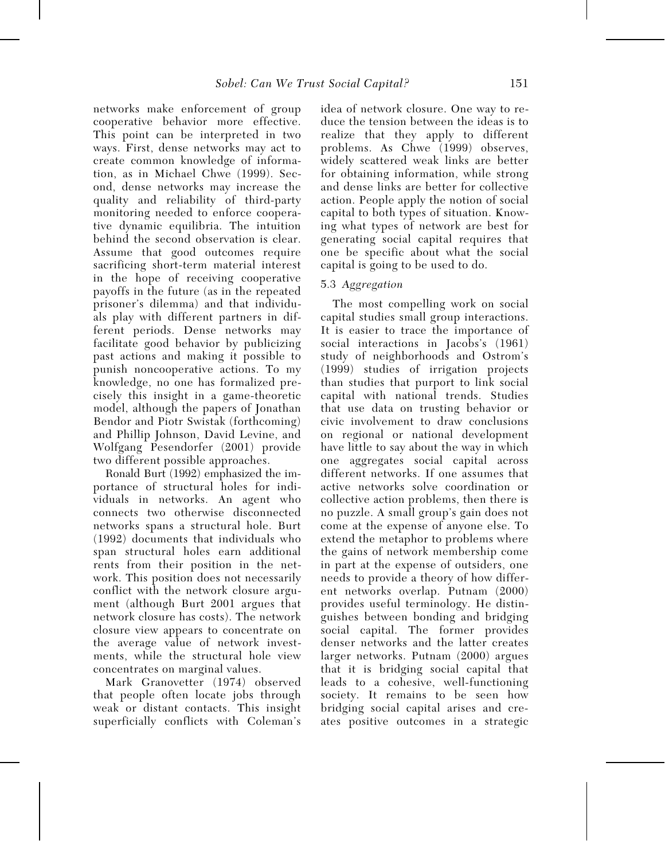networks make enforcement of group cooperative behavior more effective. This point can be interpreted in two ways. First, dense networks may act to create common knowledge of information, as in Michael Chwe (1999). Second, dense networks may increase the quality and reliability of third-party monitoring needed to enforce cooperative dynamic equilibria. The intuition behind the second observation is clear. Assume that good outcomes require sacrificing short-term material interest in the hope of receiving cooperative payoffs in the future (as in the repeated prisoner's dilemma) and that individuals play with different partners in different periods. Dense networks may facilitate good behavior by publicizing past actions and making it possible to punish noncooperative actions. To my knowledge, no one has formalized precisely this insight in a game-theoretic model, although the papers of Jonathan Bendor and Piotr Swistak (forthcoming) and Phillip Johnson, David Levine, and Wolfgang Pesendorfer (2001) provide two different possible approaches.

Ronald Burt (1992) emphasized the importance of structural holes for individuals in networks. An agent who connects two otherwise disconnected networks spans a structural hole. Burt (1992) documents that individuals who span structural holes earn additional rents from their position in the network. This position does not necessarily conflict with the network closure argument (although Burt 2001 argues that network closure has costs). The network closure view appears to concentrate on the average value of network investments, while the structural hole view concentrates on marginal values.

Mark Granovetter (1974) observed that people often locate jobs through weak or distant contacts. This insight superficially conflicts with Coleman's idea of network closure. One way to reduce the tension between the ideas is to realize that they apply to different problems. As Chwe (1999) observes, widely scattered weak links are better for obtaining information, while strong and dense links are better for collective action. People apply the notion of social capital to both types of situation. Knowing what types of network are best for generating social capital requires that one be specific about what the social capital is going to be used to do.

### 5.3 *Aggregation*

The most compelling work on social capital studies small group interactions. It is easier to trace the importance of social interactions in Jacobs's (1961) study of neighborhoods and Ostrom's (1999) studies of irrigation projects than studies that purport to link social capital with national trends. Studies that use data on trusting behavior or civic involvement to draw conclusions on regional or national development have little to say about the way in which one aggregates social capital across different networks. If one assumes that active networks solve coordination or collective action problems, then there is no puzzle. A small group's gain does not come at the expense of anyone else. To extend the metaphor to problems where the gains of network membership come in part at the expense of outsiders, one needs to provide a theory of how different networks overlap. Putnam (2000) provides useful terminology. He distinguishes between bonding and bridging social capital. The former provides denser networks and the latter creates larger networks. Putnam (2000) argues that it is bridging social capital that leads to a cohesive, well-functioning society. It remains to be seen how bridging social capital arises and creates positive outcomes in a strategic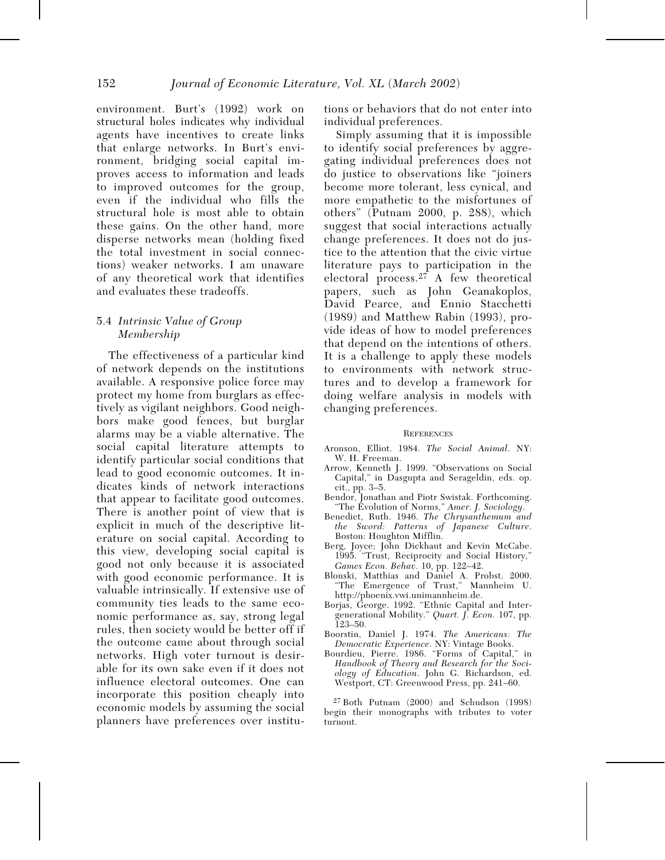environment. Burt's (1992) work on structural holes indicates why individual agents have incentives to create links that enlarge networks. In Burt's environment, bridging social capital improves access to information and leads to improved outcomes for the group, even if the individual who fills the structural hole is most able to obtain these gains. On the other hand, more disperse networks mean (holding fixed the total investment in social connections) weaker networks. I am unaware of any theoretical work that identifies and evaluates these tradeoffs.

#### 5.4 *Intrinsic Value of Group Membership*

The effectiveness of a particular kind of network depends on the institutions available. A responsive police force may protect my home from burglars as effectively as vigilant neighbors. Good neighbors make good fences, but burglar alarms may be a viable alternative. The social capital literature attempts to identify particular social conditions that lead to good economic outcomes. It indicates kinds of network interactions that appear to facilitate good outcomes. There is another point of view that is explicit in much of the descriptive literature on social capital. According to this view, developing social capital is good not only because it is associated with good economic performance. It is valuable intrinsically. If extensive use of community ties leads to the same economic performance as, say, strong legal rules, then society would be better off if the outcome came about through social networks. High voter turnout is desirable for its own sake even if it does not influence electoral outcomes. One can incorporate this position cheaply into economic models by assuming the social planners have preferences over institutions or behaviors that do not enter into individual preferences.

Simply assuming that it is impossible to identify social preferences by aggregating individual preferences does not do justice to observations like "joiners become more tolerant, less cynical, and more empathetic to the misfortunes of others" (Putnam 2000, p. 288), which suggest that social interactions actually change preferences. It does not do justice to the attention that the civic virtue literature pays to participation in the electoral process.27 A few theoretical papers, such as John Geanakoplos, David Pearce, and Ennio Stacchetti (1989) and Matthew Rabin (1993), provide ideas of how to model preferences that depend on the intentions of others. It is a challenge to apply these models to environments with network structures and to develop a framework for doing welfare analysis in models with changing preferences.

#### **REFERENCES**

- Aronson, Elliot. 1984. *The Social Animal*. NY: W. H. Freeman.
- Arrow, Kenneth J. 1999. "Observations on Social Capital," in Dasgupta and Serageldin, eds. op. cit., pp. 3–5.
- Bendor, Jonathan and Piotr Swistak. Forthcoming. "The Evolution of Norms," *Amer. J. Sociology*.
- Benedict, Ruth. 1946. *The Chrysanthemum* and *the Sword: Patterns of Japanese Culture*. Boston: Houghton Mifflin.
- Berg, Joyce; John Dickhaut and Kevin McCabe. 1995. "Trust, Reciprocity and Social History," *Games Econ. Behav.* 10, pp. 122–42.
- Blonski, Matthias and Daniel A. Probst. 2000. "The Emergence of Trust," Mannheim U. http://phoenix.vwi.unimannheim.de.
- Borjas, George. 1992. "Ethnic Capital and Intergenerational Mobility." *Quart. J. Econ.* 107, pp. 123–50.
- Boorstin, Daniel J. 1974. *The Americans: The Democratic Experience*. NY: Vintage Books.
- Bourdieu, Pierre. 1986. "Forms of Capital," in *Handbook of Theory and Research for the Sociology of Education*. John G. Richardson, ed. Westport, CT: Greenwood Press, pp. 241–60.

27 Both Putnam (2000) and Schudson (1998) begin their monographs with tributes to voter turnout.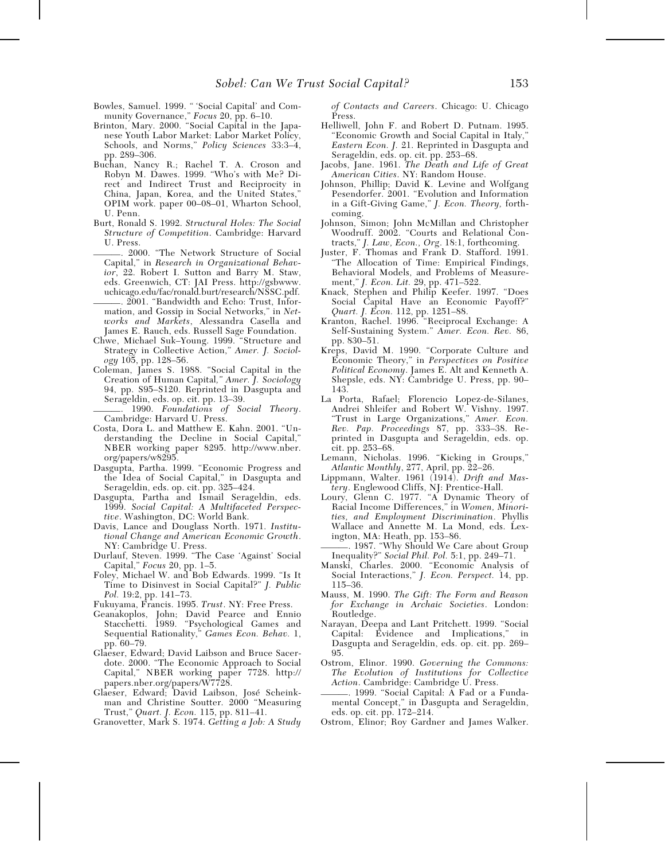- Bowles, Samuel. 1999. " 'Social Capital' and Community Governance," *Focus* 20, pp. 6–10.
- Brinton, Mary. 2000. "Social Capital in the Japanese Youth Labor Market: Labor Market Policy, Schools, and Norms," *Policy Sciences* 33:3–4, pp. 289–306.
- Buchan, Nancy R.; Rachel T. A. Croson and Robyn M. Dawes. 1999. "Who's with Me? Direct and Indirect Trust and Reciprocity in China, Japan, Korea, and the United States," OPIM work. paper 00–08–01, Wharton School, U. Penn.
- Burt, Ronald S. 1992. *Structural Holes: The Social Structure of Competition*. Cambridge: Harvard U. Press.
- ———. 2000. "The Network Structure of Social Capital," in *Research in Organizational Behavior*, 22. Robert I. Sutton and Barry M. Staw, eds. Greenwich, CT: JAI Press. http://gsbwww. uchicago.edu/fac/ronald.burt/research/NSSC.pdf.
- ———. 2001. "Bandwidth and Echo: Trust, Information, and Gossip in Social Networks," in *Networks and Markets*, Alessandra Casella and James E. Rauch, eds. Russell Sage Foundation.
- Chwe, Michael Suk–Young. 1999. "Structure and Strategy in Collective Action," *Amer. J. Sociology* 105, pp. 128–56.
- Coleman, James S. 1988. "Social Capital in the Creation of Human Capital*," Amer. J. Sociology* 94, pp. S95–S120. Reprinted in Dasgupta and Serageldin, eds. op. cit. pp. 13–39.
- ———. 1990. *Foundations of Social Theory*. Cambridge: Harvard U. Press.
- Costa, Dora L. and Matthew E. Kahn. 2001. "Understanding the Decline in Social Capital," NBER working paper 8295. http://www.nber. org/papers/w8295.
- Dasgupta, Partha. 1999. "Economic Progress and the Idea of Social Capital," in Dasgupta and Serageldin, eds. op. cit. pp. 325–424.
- Dasgupta, Partha and Ismail Serageldin, eds. 1999. *Social Capital: A Multifaceted Perspective*. Washington, DC: World Bank.
- Davis, Lance and Douglass North. 1971. *Institutional Change and American Economic Growth*. NY: Cambridge U. Press.
- Durlauf, Steven. 1999. "The Case 'Against' Social Capital," *Focus* 20, pp. 1–5.
- Foley, Michael W. and Bob Edwards. 1999. "Is It Time to Disinvest in Social Capital?" *J. Public Pol.* 19:2, pp. 141–73.
- Fukuyama, Francis. 1995. *Trust*. NY: Free Press.
- Geanakoplos, John; David Pearce and Ennio Stacchetti. 1989. "Psychological Games and Sequential Rationality," *Games Econ. Behav.* 1, pp. 60–79.
- Glaeser, Edward; David Laibson and Bruce Sacerdote. 2000. "The Economic Approach to Social Capital," NBER working paper 7728. http:// papers.nber.org/papers/W7728.
- Glaeser, Edward; David Laibson, José Scheinkman and Christine Soutter. 2000 "Measuring Trust," *Quart. J. Econ.* 115, pp. 811–41.

Granovetter, Mark S. 1974. *Getting a Job: A Study*

*of Contacts and Careers*. Chicago: U. Chicago Press.

- Helliwell, John F. and Robert D. Putnam. 1995. "Economic Growth and Social Capital in Italy," *Eastern Econ. J.* 21. Reprinted in Dasgupta and Serageldin, eds. op. cit. pp. 253–68.
- Jacobs, Jane. 1961. *The Death and Life of Great American Cities*. NY: Random House.
- Johnson, Phillip; David K. Levine and Wolfgang Pesendorfer. 2001. "Evolution and Information in a Gift-Giving Game," *J. Econ. Theory,* forthcoming.
- Johnson, Simon; John McMillan and Christopher Woodruff. 2002. "Courts and Relational Contracts," *J. Law, Econ., Org*. 18:1, forthcoming.
- Juster, F. Thomas and Frank D. Stafford. 1991. "The Allocation of Time: Empirical Findings, Behavioral Models, and Problems of Measurement," *J. Econ. Lit.* 29, pp. 471–522.
- Knack, Stephen and Philip Keefer. 1997. "Does Social Capital Have an Economic Payoff?" *Quart. J. Econ.* 112, pp. 1251–88.
- Kranton, Rachel. 1996. "Reciprocal Exchange: A Self-Sustaining System." *Amer. Econ. Rev.* 86, pp. 830–51.
- Kreps, David M. 1990. "Corporate Culture and Economic Theory," in *Perspectives on Positive Political Economy*. James E. Alt and Kenneth A. Shepsle, eds. NY: Cambridge U. Press, pp. 90– 143.
- La Porta, Rafael; Florencio Lopez-de-Silanes, Andrei Shleifer and Robert W. Vishny. 1997. "Trust in Large Organizations," *Amer. Econ. Rev. Pap. Proceedings* 87, pp. 333–38. Reprinted in Dasgupta and Serageldin, eds. op. cit. pp. 253–68.
- Lemann, Nicholas. 1996. "Kicking in Groups," *Atlantic Monthly*, 277, April, pp. 22–26.
- Lippmann, Walter. 1961 (1914). *Drift and Mastery*. Englewood Cliffs, NJ: Prentice-Hall.
- Loury, Glenn C. 1977. "A Dynamic Theory of Racial Income Differences," in *Women, Minorities, and Employment Discrimination*. Phyllis Wallace and Annette M. La Mond, eds. Lexington, MA: Heath, pp. 153–86.
- ———. 1987. "Why Should We Care about Group Inequality?" *Social Phil. Pol.* 5:1, pp. 249–71.
- Manski, Charles. 2000. "Economic Analysis of Social Interactions," *J. Econ. Perspect.* 14, pp. 115–36.
- Mauss, M. 1990. *The Gift: The Form and Reason for Exchange in Archaic Societies*. London: Routledge.
- Narayan, Deepa and Lant Pritchett. 1999. "Social Capital: Evidence and Implications," in Dasgupta and Serageldin, eds. op. cit. pp. 269– 95.
- Ostrom, Elinor. 1990. *Governing the Commons: The Evolution of Institutions for Collective Action*. Cambridge: Cambridge U. Press.
- ———. 1999. "Social Capital: A Fad or a Fundamental Concept," in Dasgupta and Serageldin, eds. op. cit. pp. 172–214.
- Ostrom, Elinor; Roy Gardner and James Walker.